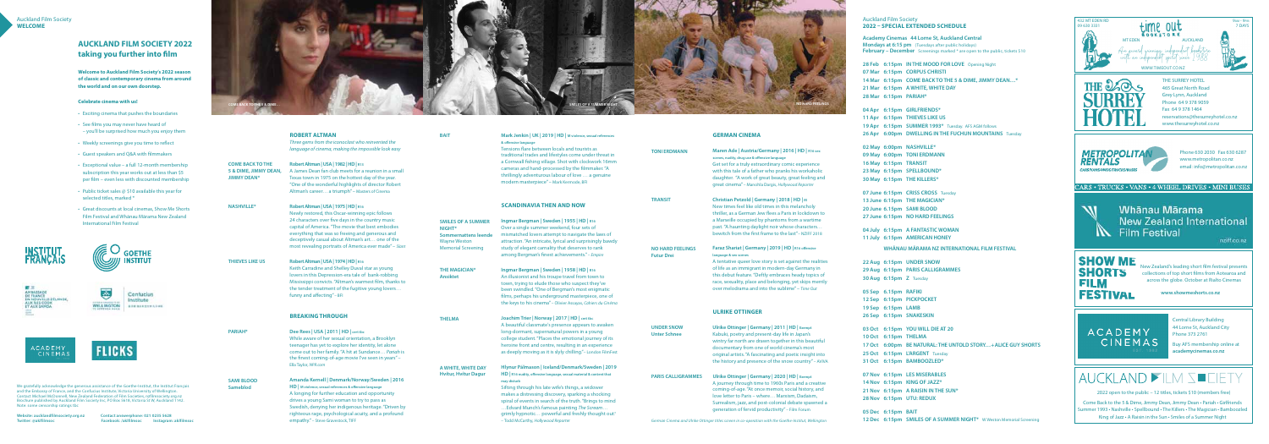**Welcome to Auckland Film Society's 2022 season of classic and contemporary cinema from around the world and on our own doorstep.**

## **Celebrate cinema with us!**

- Exciting cinema that pushes the boundaries
- See films you may never have heard of – you'll be surprised how much you enjoy them
- Weekly screenings give you time to reflect
- • Guest speakers and Q&A with filmmakers
- Exceptional value a full 12-month membership subscription this year works out at less than \$5 per film – even less with discounted membership
- Public ticket sales  $@$  \$10 available this year for selected titles, marked \*
- • Great discounts at local cinemas, Show Me Shorts Film Festival and Whānau Mārama New Zealand International Film Festival

**Academy Cinemas 44 Lorne St, Auckland Central Mondays at 6:15 pm** (Tuesdays after public holidays) **February – December** Screenings marked \* are open to the public, tickets \$10

**GOETHE** 

**INSTITUT** 





**FLICKS** 



**28 Feb 6:15pm IN THE MOOD FOR LOVE** Opening Night **07 Mar 6:15pm CORPUS CHRISTI 14 Mar 6:15pm COME BACK TO THE 5 & DIME, JIMMY DEAN…\* 21 Mar 6:15pm A WHITE, WHITE DAY 28 Mar 6:15pm PARIAH\***

**04 Apr 6:15pm GIRLFRIENDS\* 11 Apr 6:15pm THIEVES LIKE US 19 Apr 6:15pm SUMMER 1993\*** Tuesday. AFS AGM follows **26 Apr 6:00pm DWELLING IN THE FUCHUN MOUNTAINS** Tuesday

**02 May 6:00pm NASHVILLE\* 09 May 6:00pm TONI ERDMANN 16 May 6:15pm TRANSIT 23 May 6:15pm SPELLBOUND\* 30 May 6:15pm THE KILLERS\***

**07 June 6:15pm CRISS CROSS** Tuesday **13 June 6:15pm THE MAGICIAN\* 20 June 6.15pm SAMI BLOOD 27 June 6:15pm NO HARD FEELINGS**

**04 July 6:15pm A FANTASTIC WOMAN 11 July 6:15pm AMERICAN HONEY** 

**WHĀNAU MĀRAMA NZ INTERNATIONAL FILM FESTIVAL**

**22 Aug 6:15pm UNDER SNOW 29 Aug 6:15pm PARIS CALLIGRAMMES 30 Aug 6:15pm Z** Tuesday

**05 Sep 6.15pm RAFIKI 12 Sep 6:15pm PICKPOCKET 19 Sep 6:15pm LAMB 26 Sep 6:15pm SNAKESKIN**

**03 Oct 6:15pm YOU WILL DIE AT 20 10 Oct 6:15pm THELMA 17 Oct 6:00pm BE NATURAL: THE UNTOLD STORY… + ALICE GUY SHORTS 25 Oct 6:15pm L'ARGENT** Tuesday **31 Oct 6:15pm BAMBOOZLED\***

**07 Nov 6:15pm LES MISERABLES 14 Nov 6:15pm KING OF JAZZ\* 21 Nov 6:15pm A RAISIN IN THE SUN\* 28 Nov 6:15pm UTU: REDUX**

**05 Dec 6:15pm BAIT 12 Dec 6:15pm SMILES OF A SUMMER NIGHT\*** W Weston Memorial Screening

Auckland Film Society **2022 – SPECIAL EXTENDED SCHEDULE**

## **AUCKLAND FILM SOCIETY 2022 taking you further into film**

We gratefully acknowledge the generous assistance of the Goethe-Institut, the Institut Français and the Embassy of France, and the Confucius Institute, Victoria University of Wellington. Contact Michael McDonnell, New Zealand Federation of Film Societies, nzfilmsociety.org.nz Brochure published by Auckland Film Society Inc, PO Box 5618, Victoria St W, Auckland 1142. Note: some censorship ratings tbc

**Website: aucklandfilmsociety.org.nz Contact answerphone: 021 0235 5628 Twitter: @aklfilmsoc Facebook: /aklfilmsoc Instagram: aklfilmsoc**

| <b>COME BACK TO THE</b><br>5 & DIME, JIMMY DEAN,<br><b>JIMMY DEAN*</b> | <b>ROBERT ALTMAN</b><br>Three gems from the iconoclast who reinvented the<br>language of cinema, making the impossible look easy<br>Robert Altman   USA   1982   HD   R13<br>A James Dean fan club meets for a reunion in a small<br>Texas town in 1975 on the hottest day of the year.<br>"One of the wonderful highlights of director Robert<br>Altman's career a triumph" - Masters of Cinema | <b>BAIT</b>                                                                                                            | Mark Jenkin   UK   2019   HD   M violence, sexual references<br>& offensive language<br>Tensions flare between locals and tourists as<br>traditional trades and lifestyles come under threat in<br>a Cornwall fishing village. Shot with clockwork 16mm<br>cameras and hand-processed by the filmmaker. "A<br>thrillingly adventurous labour of love  a genuine<br>modern masterpiece" - Mark Kermode, BFI | <b>TONI ERDMANN</b>                               |
|------------------------------------------------------------------------|--------------------------------------------------------------------------------------------------------------------------------------------------------------------------------------------------------------------------------------------------------------------------------------------------------------------------------------------------------------------------------------------------|------------------------------------------------------------------------------------------------------------------------|------------------------------------------------------------------------------------------------------------------------------------------------------------------------------------------------------------------------------------------------------------------------------------------------------------------------------------------------------------------------------------------------------------|---------------------------------------------------|
| <b>NASHVILLE*</b>                                                      | Robert Altman   USA   1975   HD   R16<br>Newly restored, this Oscar-winning epic follows                                                                                                                                                                                                                                                                                                         |                                                                                                                        | <b>SCANDINAVIA THEN AND NOW</b>                                                                                                                                                                                                                                                                                                                                                                            | <b>TRANSIT</b>                                    |
|                                                                        | 24 characters over five days in the country music<br>capital of America. "The movie that best embodies<br>everything that was so freeing and generous and<br>deceptively casual about Altman's art one of the<br>most revealing portraits of America ever made" - Slant                                                                                                                          | <b>SMILES OF A SUMMER</b><br>NIGHT*<br><b>Sommernattens leende</b><br><b>Wayne Weston</b><br><b>Memorial Screening</b> | Ingmar Bergman   Sweden   1955   HD   R16<br>Over a single summer weekend, four sets of<br>mismatched lovers attempt to navigate the laws of<br>attraction. "An intricate, lyrical and surprisingly bawdy<br>study of elegant carnality that deserves to rank<br>among Bergman's finest achievements." - Empire                                                                                            | <b>NO HARD FEELIN</b><br><b>Futur Drei</b>        |
| <b>THIEVES LIKE US</b>                                                 | Robert Altman   USA   1974   HD   R16<br>Keith Carradine and Shelley Duval star as young<br>lovers in this Depression-era tale of bank-robbing<br>Mississippi convicts. "Altman's warmest film, thanks to<br>the tender treatment of the fugitive young lovers<br>funny and affecting" - BFI                                                                                                     | <b>THE MAGICIAN*</b><br><b>Ansiktet</b>                                                                                | Ingmar Bergman   Sweden   1958   HD   R16<br>An illusionist and his troupe travel from town to<br>town, trying to elude those who suspect they've<br>been swindled. "One of Bergman's most enigmatic<br>films, perhaps his underground masterpiece, one of<br>the keys to his cinema" - Olivier Assayas, Cahiers du Cinéma                                                                                 |                                                   |
|                                                                        | <b>BREAKING THROUGH</b>                                                                                                                                                                                                                                                                                                                                                                          | <b>THELMA</b>                                                                                                          | Joachim Trier   Norway   2017   HD   cert tbc                                                                                                                                                                                                                                                                                                                                                              |                                                   |
| PARIAH*                                                                | Dee Rees   USA   2011   HD   cert tbc<br>While aware of her sexual orientation, a Brooklyn<br>teenager has yet to explore her identity, let alone<br>come out to her family. "A hit at Sundance Pariah is<br>the finest coming-of-age movie I've seen in years" -                                                                                                                                |                                                                                                                        | A beautiful classmate's presence appears to awaken<br>long-dormant, supernatural powers in a young<br>college student. "Places the emotional journey of its<br>heroine front and centre, resulting in an experience<br>as deeply moving as it is slyly chilling."- London FilmFest                                                                                                                         | <b>UNDER SNOW</b><br><b>Unter Schnee</b>          |
|                                                                        | Ella Taylor, NPR.com                                                                                                                                                                                                                                                                                                                                                                             | A WHITE, WHITE DAY<br>Hvítur, Hvítur Dagur                                                                             | Hlynur Pálmason   Iceland/Denmark/Sweden   2019<br>HD   R16 nudity, offensive language, sexual material & content that                                                                                                                                                                                                                                                                                     |                                                   |
| <b>SAMI BLOOD</b><br><b>Sameblod</b>                                   | Amanda Kernell   Denmark/Norway/Sweden   2016<br>HD   M violence, sexual references & offensive language<br>A longing for further education and opportunity<br>drives a young Sami woman to try to pass as<br>Swedish, denying her indigenous heritage. "Driven by<br>righteous rage, psychological acuity, and a profound<br>empathy." - Steve Gravestock, TIFF                                 |                                                                                                                        | may disturb<br>Sifting through his late wife's things, a widower<br>makes a distressing discovery, sparking a shocking<br>spiral of events in search of the truth. "Brings to mind<br>Edvard Munch's famous painting The Scream<br>grimly hypnotic powerful and freshly thought out."<br>- Todd McCarthy, Hollywood Reporter                                                                               | <b>PARIS CALLIGRA</b><br><b>German Cinema and</b> |



*Germa and Ulrike Ottinger titles screen in co-operation with the Goethe-Institut, Wellington* 



## **GERMAN CINEMA**

**Maren Ade | Austria/Germany | 2016 | HD | R16 sex scenes, nudity, drug use & offensive language**  Get set for a truly extraordinary comic experience with this tale of a father who pranks his workaholic daughter. "A work of great beauty, great feeling and

great cinema" – Manohla Dargis, *Hollywood Reporter* 

**Christian Petzold | Germany | 2018 | HD | M**  New times feel like old times in this melancholy thriller, as a German Jew flees a Paris in lockdown to a Marseille occupied by phantoms from a wartime past. "A haunting daylight noir whose characters… bewitch from the first frame to the last"– NZIFF 2018

**NEFELINGS** 

## **Faraz Shariat | Germany | 2019 | HD | R16 offensive language & sex scenes**

A tentative queer love story is set against the realities of life as an immigrant in modern-day Germany in this debut feature."Deftly embraces heady topics of race, sexuality, place and belonging, yet skips merrily over melodrama and into the sublime" – *Time Out*

## **ULRIKE OTTINGER**

**Ulrike Ottinger | Germany | 2011 | HD | Exempt** Kabuki, poetry and present-day life in Japan's wintry far north are drawn together in this beautiful documentary from one of world cinema's most original artists."A fascinating and poetic insight into the history and presence of the snow country" – AVIVA

**PARIS CALLIGRAMMES Ulrike Ottinger | Germany | 2020 | HD | Exempt** A journey through time to 1960s Paris and a creative coming-of-age."At once memoir, social history, and love letter to Paris – where… Marxism, Dadaism, Surrealism, jazz, and post-colonial debate spawned a generation of fervid productivity" – Film Forum